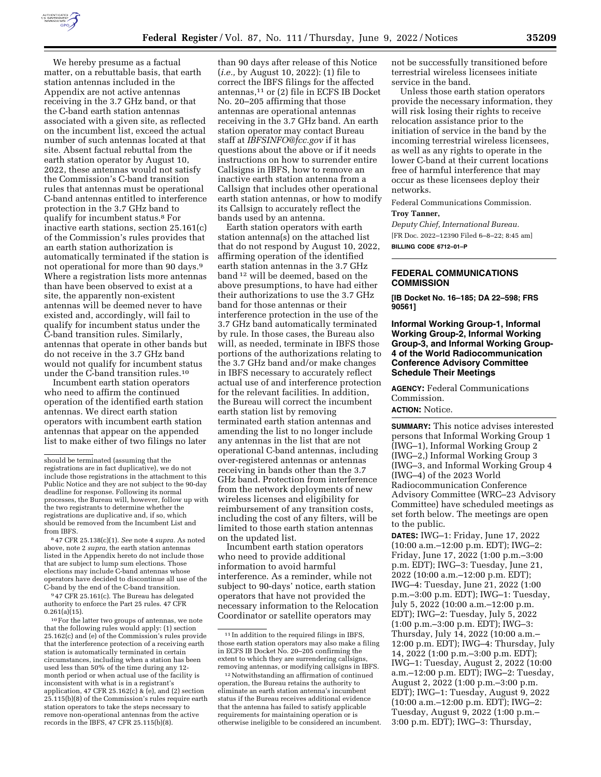

We hereby presume as a factual matter, on a rebuttable basis, that earth station antennas included in the Appendix are not active antennas receiving in the 3.7 GHz band, or that the C-band earth station antennas associated with a given site, as reflected on the incumbent list, exceed the actual number of such antennas located at that site. Absent factual rebuttal from the earth station operator by August 10, 2022, these antennas would not satisfy the Commission's C-band transition rules that antennas must be operational C-band antennas entitled to interference protection in the 3.7 GHz band to qualify for incumbent status.8 For inactive earth stations, section 25.161(c) of the Commission's rules provides that an earth station authorization is automatically terminated if the station is not operational for more than 90 days.<sup>9</sup> Where a registration lists more antennas than have been observed to exist at a site, the apparently non-existent antennas will be deemed never to have existed and, accordingly, will fail to qualify for incumbent status under the C-band transition rules. Similarly, antennas that operate in other bands but do not receive in the 3.7 GHz band would not qualify for incumbent status under the C-band transition rules.10

Incumbent earth station operators who need to affirm the continued operation of the identified earth station antennas. We direct earth station operators with incumbent earth station antennas that appear on the appended list to make either of two filings no later

8 47 CFR 25.138(c)(1). *See* note 4 *supra.* As noted above, note 2 *supra,* the earth station antennas listed in the Appendix hereto do not include those that are subject to lump sum elections. Those elections may include C-band antennas whose operators have decided to discontinue all use of the C-band by the end of the C-band transition.

9 47 CFR 25.161(c). The Bureau has delegated authority to enforce the Part 25 rules. 47 CFR  $0.261(a)(15)$ .

10For the latter two groups of antennas, we note that the following rules would apply: (1) section 25.162(c) and (e) of the Commission's rules provide that the interference protection of a receiving earth station is automatically terminated in certain circumstances, including when a station has been used less than 50% of the time during any 12 month period or when actual use of the facility is inconsistent with what is in a registrant's application, 47 CFR 25.162(c) & (e), and (2) section 25.115(b)(8) of the Commission's rules require earth station operators to take the steps necessary to remove non-operational antennas from the active records in the IBFS, 47 CFR 25.115(b)(8).

than 90 days after release of this Notice (*i.e.,* by August 10, 2022): (1) file to correct the IBFS filings for the affected antennas,11 or (2) file in ECFS IB Docket No. 20–205 affirming that those antennas are operational antennas receiving in the 3.7 GHz band. An earth station operator may contact Bureau staff at *[IBFSINFO@fcc.gov](mailto:IBFSINFO@fcc.gov)* if it has questions about the above or if it needs instructions on how to surrender entire Callsigns in IBFS, how to remove an inactive earth station antenna from a Callsign that includes other operational earth station antennas, or how to modify its Callsign to accurately reflect the bands used by an antenna.

Earth station operators with earth station antenna(s) on the attached list that do not respond by August 10, 2022, affirming operation of the identified earth station antennas in the 3.7 GHz band 12 will be deemed, based on the above presumptions, to have had either their authorizations to use the 3.7 GHz band for those antennas or their interference protection in the use of the 3.7 GHz band automatically terminated by rule. In those cases, the Bureau also will, as needed, terminate in IBFS those portions of the authorizations relating to the 3.7 GHz band and/or make changes in IBFS necessary to accurately reflect actual use of and interference protection for the relevant facilities. In addition, the Bureau will correct the incumbent earth station list by removing terminated earth station antennas and amending the list to no longer include any antennas in the list that are not operational C-band antennas, including over-registered antennas or antennas receiving in bands other than the 3.7 GHz band. Protection from interference from the network deployments of new wireless licenses and eligibility for reimbursement of any transition costs, including the cost of any filters, will be limited to those earth station antennas on the updated list.

Incumbent earth station operators who need to provide additional information to avoid harmful interference. As a reminder, while not subject to 90-days' notice, earth station operators that have not provided the necessary information to the Relocation Coordinator or satellite operators may

not be successfully transitioned before terrestrial wireless licensees initiate service in the band.

Unless those earth station operators provide the necessary information, they will risk losing their rights to receive relocation assistance prior to the initiation of service in the band by the incoming terrestrial wireless licensees, as well as any rights to operate in the lower C-band at their current locations free of harmful interference that may occur as these licensees deploy their networks.

Federal Communications Commission.

# **Troy Tanner,**

*Deputy Chief, International Bureau.*  [FR Doc. 2022–12390 Filed 6–8–22; 8:45 am] **BILLING CODE 6712–01–P** 

### **FEDERAL COMMUNICATIONS COMMISSION**

**[IB Docket No. 16–185; DA 22–598; FRS 90561]** 

## **Informal Working Group-1, Informal Working Group-2, Informal Working Group-3, and Informal Working Group-4 of the World Radiocommunication Conference Advisory Committee Schedule Their Meetings**

**AGENCY:** Federal Communications Commission.

## **ACTION:** Notice.

**SUMMARY:** This notice advises interested persons that Informal Working Group 1 (IWG–1), Informal Working Group 2 (IWG–2,) Informal Working Group 3 (IWG–3, and Informal Working Group 4 (IWG–4) of the 2023 World Radiocommunication Conference Advisory Committee (WRC–23 Advisory Committee) have scheduled meetings as set forth below. The meetings are open to the public.

**DATES:** IWG–1: Friday, June 17, 2022 (10:00 a.m.–12:00 p.m. EDT); IWG–2: Friday, June 17, 2022 (1:00 p.m.–3:00 p.m. EDT); IWG–3: Tuesday, June 21, 2022 (10:00 a.m.–12:00 p.m. EDT); IWG–4: Tuesday, June 21, 2022 (1:00 p.m.–3:00 p.m. EDT); IWG–1: Tuesday, July 5, 2022 (10:00 a.m.–12:00 p.m. EDT); IWG–2: Tuesday, July 5, 2022 (1:00 p.m.–3:00 p.m. EDT); IWG–3: Thursday, July 14, 2022 (10:00 a.m.– 12:00 p.m. EDT); IWG–4: Thursday, July 14, 2022 (1:00 p.m.–3:00 p.m. EDT); IWG–1: Tuesday, August 2, 2022 (10:00 a.m.–12:00 p.m. EDT); IWG–2: Tuesday, August 2, 2022 (1:00 p.m.–3:00 p.m. EDT); IWG–1: Tuesday, August 9, 2022 (10:00 a.m.–12:00 p.m. EDT); IWG–2: Tuesday, August 9, 2022 (1:00 p.m.– 3:00 p.m. EDT); IWG–3: Thursday,

should be terminated (assuming that the registrations are in fact duplicative), we do not include those registrations in the attachment to this Public Notice and they are not subject to the 90-day deadline for response. Following its normal processes, the Bureau will, however, follow up with the two registrants to determine whether the registrations are duplicative and, if so, which should be removed from the Incumbent List and from IBFS.

<sup>11</sup> In addition to the required filings in IBFS, those earth station operators may also make a filing in ECFS IB Docket No. 20–205 confirming the extent to which they are surrendering callsigns, removing antennas, or modifying callsigns in IBFS.

 $^{\rm 12}$  Notwithstanding an affirmation of continued operation, the Bureau retains the authority to eliminate an earth station antenna's incumbent status if the Bureau receives additional evidence that the antenna has failed to satisfy applicable requirements for maintaining operation or is otherwise ineligible to be considered an incumbent.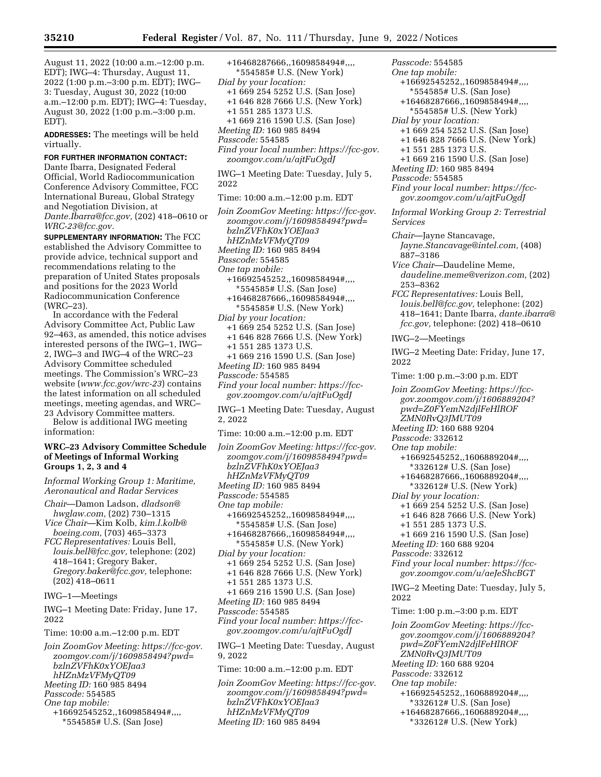August 11, 2022 (10:00 a.m.–12:00 p.m. EDT); IWG–4: Thursday, August 11, 2022 (1:00 p.m.–3:00 p.m. EDT); IWG– 3: Tuesday, August 30, 2022 (10:00 a.m.–12:00 p.m. EDT); IWG–4: Tuesday, August 30, 2022 (1:00 p.m.–3:00 p.m. EDT).

**ADDRESSES:** The meetings will be held virtually.

**FOR FURTHER INFORMATION CONTACT:**  Dante Ibarra, Designated Federal Official, World Radiocommunication Conference Advisory Committee, FCC International Bureau, Global Strategy and Negotiation Division, at *[Dante.Ibarra@fcc.gov,](mailto:Dante.Ibarra@fcc.gov)* (202) 418–0610 or *[WRC-23@fcc.gov.](mailto:WRC-23@fcc.gov)* 

**SUPPLEMENTARY INFORMATION:** The FCC established the Advisory Committee to provide advice, technical support and recommendations relating to the preparation of United States proposals and positions for the 2023 World Radiocommunication Conference (WRC–23).

In accordance with the Federal Advisory Committee Act, Public Law 92–463, as amended, this notice advises interested persons of the IWG–1, IWG– 2, IWG–3 and IWG–4 of the WRC–23 Advisory Committee scheduled meetings. The Commission's WRC–23 website (*[www.fcc.gov/wrc-23](http://www.fcc.gov/wrc-23)*) contains the latest information on all scheduled meetings, meeting agendas, and WRC– 23 Advisory Committee matters. Below is additional IWG meeting

information:

### **WRC–23 Advisory Committee Schedule of Meetings of Informal Working Groups 1, 2, 3 and 4**

*Informal Working Group 1: Maritime, Aeronautical and Radar Services* 

*Chair*—Damon Ladson, *[dladson@](mailto:dladson@hwglaw.com) [hwglaw.com,](mailto:dladson@hwglaw.com)* (202) 730–1315 *Vice Chair*—Kim Kolb, *[kim.l.kolb@](mailto:kim.l.kolb@boeing.com)*

*[boeing.com,](mailto:kim.l.kolb@boeing.com)* (703) 465–3373 *FCC Representatives:* Louis Bell,

*[louis.bell@fcc.gov,](mailto:louis.bell@fcc.gov)* telephone: (202) 418–1641; Gregory Baker, *[Gregory.baker@fcc.gov,](mailto:Gregory.baker@fcc.gov)* telephone: (202) 418–0611

IWG–1—Meetings

IWG–1 Meeting Date: Friday, June 17, 2022

Time: 10:00 a.m.–12:00 p.m. EDT

*Join ZoomGov Meeting: [https://fcc-gov.](https://fcc-gov.zoomgov.com/j/1609858494?pwd=bzlnZVFhK0xYOEJaa3hHZnMzVFMyQT09) [zoomgov.com/j/1609858494?pwd=](https://fcc-gov.zoomgov.com/j/1609858494?pwd=bzlnZVFhK0xYOEJaa3hHZnMzVFMyQT09) [bzlnZVFhK0xYOEJaa3](https://fcc-gov.zoomgov.com/j/1609858494?pwd=bzlnZVFhK0xYOEJaa3hHZnMzVFMyQT09) [hHZnMzVFMyQT09](https://fcc-gov.zoomgov.com/j/1609858494?pwd=bzlnZVFhK0xYOEJaa3hHZnMzVFMyQT09) Meeting ID:* 160 985 8494 *Passcode:* 554585 *One tap mobile:*  +16692545252,,1609858494#,,,, \*554585# U.S. (San Jose)

+16468287666,,1609858494#,,,, \*554585# U.S. (New York) *Dial by your location:*  +1 669 254 5252 U.S. (San Jose) +1 646 828 7666 U.S. (New York) +1 551 285 1373 U.S. +1 669 216 1590 U.S. (San Jose) *Meeting ID:* 160 985 8494 *Passcode:* 554585 *Find your local number: [https://fcc-gov.](https://fcc-gov.zoomgov.com/u/ajtFuOgdJ) [zoomgov.com/u/ajtFuOgdJ](https://fcc-gov.zoomgov.com/u/ajtFuOgdJ)*  IWG–1 Meeting Date: Tuesday, July 5, 2022 Time: 10:00 a.m.–12:00 p.m. EDT *Join ZoomGov Meeting: [https://fcc-gov.](https://fcc-gov.zoomgov.com/j/1609858494?pwd=bzlnZVFhK0xYOEJaa3hHZnMzVFMyQT09) [zoomgov.com/j/1609858494?pwd=](https://fcc-gov.zoomgov.com/j/1609858494?pwd=bzlnZVFhK0xYOEJaa3hHZnMzVFMyQT09) [bzlnZVFhK0xYOEJaa3](https://fcc-gov.zoomgov.com/j/1609858494?pwd=bzlnZVFhK0xYOEJaa3hHZnMzVFMyQT09) [hHZnMzVFMyQT09](https://fcc-gov.zoomgov.com/j/1609858494?pwd=bzlnZVFhK0xYOEJaa3hHZnMzVFMyQT09) Meeting ID:* 160 985 8494 *Passcode:* 554585 *One tap mobile:*  +16692545252,,1609858494#,,,, \*554585# U.S. (San Jose) +16468287666,,1609858494#,,,, \*554585# U.S. (New York) *Dial by your location:*  +1 669 254 5252 U.S. (San Jose) +1 646 828 7666 U.S. (New York) +1 551 285 1373 U.S. +1 669 216 1590 U.S. (San Jose) *Meeting ID:* 160 985 8494 *Passcode:* 554585 *Find your local number: [https://fcc](https://fcc-gov.zoomgov.com/u/ajtFuOgdJ)[gov.zoomgov.com/u/ajtFuOgdJ](https://fcc-gov.zoomgov.com/u/ajtFuOgdJ)*  IWG–1 Meeting Date: Tuesday, August 2, 2022 Time: 10:00 a.m.–12:00 p.m. EDT *Join ZoomGov Meeting: [https://fcc-gov.](https://fcc-gov.zoomgov.com/j/1609858494?pwd=bzlnZVFhK0xYOEJaa3hHZnMzVFMyQT09) [zoomgov.com/j/1609858494?pwd=](https://fcc-gov.zoomgov.com/j/1609858494?pwd=bzlnZVFhK0xYOEJaa3hHZnMzVFMyQT09) [bzlnZVFhK0xYOEJaa3](https://fcc-gov.zoomgov.com/j/1609858494?pwd=bzlnZVFhK0xYOEJaa3hHZnMzVFMyQT09) [hHZnMzVFMyQT09](https://fcc-gov.zoomgov.com/j/1609858494?pwd=bzlnZVFhK0xYOEJaa3hHZnMzVFMyQT09) Meeting ID:* 160 985 8494 *Passcode:* 554585 *One tap mobile:*  +16692545252,,1609858494#,,,, \*554585# U.S. (San Jose) +16468287666,,1609858494#,,,, \*554585# U.S. (New York) *Dial by your location:*  +1 669 254 5252 U.S. (San Jose) +1 646 828 7666 U.S. (New York) +1 551 285 1373 U.S. +1 669 216 1590 U.S. (San Jose) *Meeting ID:* 160 985 8494 *Passcode:* 554585 *Find your local number: [https://fcc](https://fcc-gov.zoomgov.com/u/ajtFuOgdJ)[gov.zoomgov.com/u/ajtFuOgdJ](https://fcc-gov.zoomgov.com/u/ajtFuOgdJ)*  IWG–1 Meeting Date: Tuesday, August 9, 2022 Time: 10:00 a.m.–12:00 p.m. EDT *Join ZoomGov Meeting: [https://fcc-gov.](https://fcc-gov.zoomgov.com/j/1609858494?pwd=bzlnZVFhK0xYOEJaa3hHZnMzVFMyQT09) [zoomgov.com/j/1609858494?pwd=](https://fcc-gov.zoomgov.com/j/1609858494?pwd=bzlnZVFhK0xYOEJaa3hHZnMzVFMyQT09) [bzlnZVFhK0xYOEJaa3](https://fcc-gov.zoomgov.com/j/1609858494?pwd=bzlnZVFhK0xYOEJaa3hHZnMzVFMyQT09)*

*[hHZnMzVFMyQT09](https://fcc-gov.zoomgov.com/j/1609858494?pwd=bzlnZVFhK0xYOEJaa3hHZnMzVFMyQT09) Meeting ID:* 160 985 8494

*One tap mobile:*  +16692545252,,1609858494#,,,, \*554585# U.S. (San Jose) +16468287666,,1609858494#,,,, \*554585# U.S. (New York) *Dial by your location:*  +1 669 254 5252 U.S. (San Jose) +1 646 828 7666 U.S. (New York) +1 551 285 1373 U.S. +1 669 216 1590 U.S. (San Jose) *Meeting ID:* 160 985 8494 *Passcode:* 554585 *Find your local number: [https://fcc](https://fcc-gov.zoomgov.com/u/ajtFuOgdJ)[gov.zoomgov.com/u/ajtFuOgdJ](https://fcc-gov.zoomgov.com/u/ajtFuOgdJ) Informal Working Group 2: Terrestrial Services Chair*—Jayne Stancavage, *[Jayne.Stancavage@intel.com,](mailto:Jayne.Stancavage@intel.com)* (408) 887–3186 *Vice Chair*—Daudeline Meme, *[daudeline.meme@verizon.com,](mailto:daudeline.meme@verizon.com)* (202) 253–8362 *FCC Representatives:* Louis Bell, *[louis.bell@fcc.gov,](mailto:louis.bell@fcc.gov)* telephone: (202) 418–1641; Dante Ibarra, *[dante.ibarra@](mailto:dante.ibarra@fcc.gov) [fcc.gov,](mailto:dante.ibarra@fcc.gov)* telephone: (202) 418–0610 IWG–2—Meetings IWG–2 Meeting Date: Friday, June 17, 2022 Time: 1:00 p.m.–3:00 p.m. EDT *Join ZoomGov Meeting: [https://fcc](https://fcc-gov.zoomgov.com/j/1606889204?pwd=Z0FYemN2djlFeHlROFZMN0RvQ3JMUT09)[gov.zoomgov.com/j/1606889204?](https://fcc-gov.zoomgov.com/j/1606889204?pwd=Z0FYemN2djlFeHlROFZMN0RvQ3JMUT09) [pwd=Z0FYemN2djlFeHlROF](https://fcc-gov.zoomgov.com/j/1606889204?pwd=Z0FYemN2djlFeHlROFZMN0RvQ3JMUT09) [ZMN0RvQ3JMUT09](https://fcc-gov.zoomgov.com/j/1606889204?pwd=Z0FYemN2djlFeHlROFZMN0RvQ3JMUT09)  Meeting ID:* 160 688 9204 *Passcode:* 332612 *One tap mobile:*  +16692545252,,1606889204#,,,, \*332612# U.S. (San Jose) +16468287666,,1606889204#,,,, \*332612# U.S. (New York) *Dial by your location:*  +1 669 254 5252 U.S. (San Jose) +1 646 828 7666 U.S. (New York) +1 551 285 1373 U.S. +1 669 216 1590 U.S. (San Jose) *Meeting ID:* 160 688 9204 *Passcode:* 332612 *Find your local number: [https://fcc](https://fcc-gov.zoomgov.com/u/aeJeShcBGT)[gov.zoomgov.com/u/aeJeShcBGT](https://fcc-gov.zoomgov.com/u/aeJeShcBGT)*  IWG–2 Meeting Date: Tuesday, July 5, 2022 Time: 1:00 p.m.–3:00 p.m. EDT *Join ZoomGov Meeting: [https://fcc](https://fcc-gov.zoomgov.com/j/1606889204?pwd=Z0FYemN2djlFeHlROFZMN0RvQ3JMUT09)[gov.zoomgov.com/j/1606889204?](https://fcc-gov.zoomgov.com/j/1606889204?pwd=Z0FYemN2djlFeHlROFZMN0RvQ3JMUT09) [pwd=Z0FYemN2djlFeHlROF](https://fcc-gov.zoomgov.com/j/1606889204?pwd=Z0FYemN2djlFeHlROFZMN0RvQ3JMUT09) [ZMN0RvQ3JMUT09](https://fcc-gov.zoomgov.com/j/1606889204?pwd=Z0FYemN2djlFeHlROFZMN0RvQ3JMUT09)  Meeting ID:* 160 688 9204 *Passcode:* 332612 *One tap mobile:*  +16692545252,,1606889204#,,,, \*332612# U.S. (San Jose) +16468287666,,1606889204#,,,, \*332612# U.S. (New York)

*Passcode:* 554585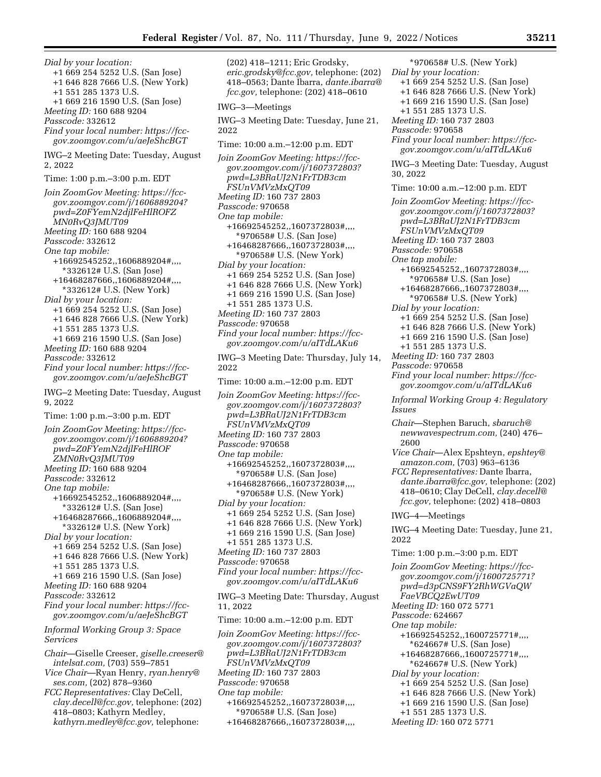*Dial by your location:*  +1 669 254 5252 U.S. (San Jose) +1 646 828 7666 U.S. (New York) +1 551 285 1373 U.S. +1 669 216 1590 U.S. (San Jose) *Meeting ID:* 160 688 9204 *Passcode:* 332612 *Find your local number: [https://fcc](https://fcc-gov.zoomgov.com/u/aeJeShcBGT)[gov.zoomgov.com/u/aeJeShcBGT](https://fcc-gov.zoomgov.com/u/aeJeShcBGT)*  IWG–2 Meeting Date: Tuesday, August 2, 2022 Time: 1:00 p.m.–3:00 p.m. EDT *Join ZoomGov Meeting: [https://fcc](https://fcc-gov.zoomgov.com/j/1606889204?pwd=Z0FYemN2djlFeHlROFZMN0RvQ3JMUT09)[gov.zoomgov.com/j/1606889204?](https://fcc-gov.zoomgov.com/j/1606889204?pwd=Z0FYemN2djlFeHlROFZMN0RvQ3JMUT09) [pwd=Z0FYemN2djlFeHlROFZ](https://fcc-gov.zoomgov.com/j/1606889204?pwd=Z0FYemN2djlFeHlROFZMN0RvQ3JMUT09) [MN0RvQ3JMUT09](https://fcc-gov.zoomgov.com/j/1606889204?pwd=Z0FYemN2djlFeHlROFZMN0RvQ3JMUT09)  Meeting ID:* 160 688 9204 *Passcode:* 332612 *One tap mobile:*  +16692545252,,1606889204#,,,, \*332612# U.S. (San Jose) +16468287666,,1606889204#,,,, \*332612# U.S. (New York) *Dial by your location:*  +1 669 254 5252 U.S. (San Jose) +1 646 828 7666 U.S. (New York) +1 551 285 1373 U.S. +1 669 216 1590 U.S. (San Jose) *Meeting ID:* 160 688 9204 *Passcode:* 332612 *Find your local number: [https://fcc](https://fcc-gov.zoomgov.com/u/aeJeShcBGT)[gov.zoomgov.com/u/aeJeShcBGT](https://fcc-gov.zoomgov.com/u/aeJeShcBGT)*  IWG–2 Meeting Date: Tuesday, August 9, 2022 Time: 1:00 p.m.–3:00 p.m. EDT *Join ZoomGov Meeting: [https://fcc](https://fcc-gov.zoomgov.com/j/1606889204?pwd=Z0FYemN2djlFeHlROFZMN0RvQ3JMUT09)[gov.zoomgov.com/j/1606889204?](https://fcc-gov.zoomgov.com/j/1606889204?pwd=Z0FYemN2djlFeHlROFZMN0RvQ3JMUT09) [pwd=Z0FYemN2djlFeHlROF](https://fcc-gov.zoomgov.com/j/1606889204?pwd=Z0FYemN2djlFeHlROFZMN0RvQ3JMUT09) [ZMN0RvQ3JMUT09](https://fcc-gov.zoomgov.com/j/1606889204?pwd=Z0FYemN2djlFeHlROFZMN0RvQ3JMUT09)  Meeting ID:* 160 688 9204 *Passcode:* 332612 *One tap mobile:*  +16692545252,,1606889204#,,,, \*332612# U.S. (San Jose) +16468287666,,1606889204#,,,, \*332612# U.S. (New York) *Dial by your location:*  +1 669 254 5252 U.S. (San Jose) +1 646 828 7666 U.S. (New York) +1 551 285 1373 U.S. +1 669 216 1590 U.S. (San Jose) *Meeting ID:* 160 688 9204 *Passcode:* 332612 *Find your local number: [https://fcc](https://fcc-gov.zoomgov.com/u/aeJeShcBGT)[gov.zoomgov.com/u/aeJeShcBGT](https://fcc-gov.zoomgov.com/u/aeJeShcBGT)  Informal Working Group 3: Space Services Chair*—Giselle Creeser, *[giselle.creeser@](mailto:giselle.creeser@intelsat.com) [intelsat.com,](mailto:giselle.creeser@intelsat.com)* (703) 559–7851 *Vice Chair*—Ryan Henry, *[ryan.henry@](mailto:ryan.henry@ses.com) [ses.com,](mailto:ryan.henry@ses.com)* (202) 878–9360 *FCC Representatives:* Clay DeCell, *[clay.decell@fcc.gov,](mailto:clay.decell@fcc.gov)* telephone: (202)

418–0803; Kathyrn Medley, *[kathyrn.medley@fcc.gov,](mailto:kathyrn.medley@fcc.gov)* telephone:

(202) 418–1211; Eric Grodsky, *[eric.grodsky@fcc.gov,](mailto:eric.grodsky@fcc.gov)* telephone: (202) 418–0563; Dante Ibarra, *[dante.ibarra@](mailto:dante.ibarra@fcc.gov) [fcc.gov,](mailto:dante.ibarra@fcc.gov)* telephone: (202) 418–0610 IWG–3—Meetings IWG–3 Meeting Date: Tuesday, June 21, 2022 Time: 10:00 a.m.–12:00 p.m. EDT *Join ZoomGov Meeting: [https://fcc](https://fcc-gov.zoomgov.com/j/1607372803?pwd=L3BRaUJ2N1FrTDB3cmFSUnVMVzMxQT09)[gov.zoomgov.com/j/1607372803?](https://fcc-gov.zoomgov.com/j/1607372803?pwd=L3BRaUJ2N1FrTDB3cmFSUnVMVzMxQT09) [pwd=L3BRaUJ2N1FrTDB3cm](https://fcc-gov.zoomgov.com/j/1607372803?pwd=L3BRaUJ2N1FrTDB3cmFSUnVMVzMxQT09) [FSUnVMVzMxQT09](https://fcc-gov.zoomgov.com/j/1607372803?pwd=L3BRaUJ2N1FrTDB3cmFSUnVMVzMxQT09)  Meeting ID:* 160 737 2803 *Passcode:* 970658 *One tap mobile:*  +16692545252,,1607372803#,,,, \*970658# U.S. (San Jose) +16468287666,,1607372803#,,,, \*970658# U.S. (New York) *Dial by your location:*  +1 669 254 5252 U.S. (San Jose) +1 646 828 7666 U.S. (New York) +1 669 216 1590 U.S. (San Jose) +1 551 285 1373 U.S. *Meeting ID:* 160 737 2803 *Passcode:* 970658 *Find your local number: [https://fcc](https://fcc-gov.zoomgov.com/u/aITdLAKu6)[gov.zoomgov.com/u/aITdLAKu6](https://fcc-gov.zoomgov.com/u/aITdLAKu6)*  IWG–3 Meeting Date: Thursday, July 14, 2022 Time: 10:00 a.m.–12:00 p.m. EDT *Join ZoomGov Meeting: [https://fcc](https://fcc-gov.zoomgov.com/j/1607372803?pwd=L3BRaUJ2N1FrTDB3cmFSUnVMVzMxQT09)[gov.zoomgov.com/j/1607372803?](https://fcc-gov.zoomgov.com/j/1607372803?pwd=L3BRaUJ2N1FrTDB3cmFSUnVMVzMxQT09) [pwd=L3BRaUJ2N1FrTDB3cm](https://fcc-gov.zoomgov.com/j/1607372803?pwd=L3BRaUJ2N1FrTDB3cmFSUnVMVzMxQT09) [FSUnVMVzMxQT09](https://fcc-gov.zoomgov.com/j/1607372803?pwd=L3BRaUJ2N1FrTDB3cmFSUnVMVzMxQT09)  Meeting ID:* 160 737 2803 *Passcode:* 970658 *One tap mobile:*  +16692545252,,1607372803#,,,, \*970658# U.S. (San Jose) +16468287666,,1607372803#,,,, \*970658# U.S. (New York) *Dial by your location:*  +1 669 254 5252 U.S. (San Jose) +1 646 828 7666 U.S. (New York) +1 669 216 1590 U.S. (San Jose) +1 551 285 1373 U.S. *Meeting ID:* 160 737 2803 *Passcode:* 970658 *Find your local number: [https://fcc](https://fcc-gov.zoomgov.com/u/aITdLAKu6)[gov.zoomgov.com/u/aITdLAKu6](https://fcc-gov.zoomgov.com/u/aITdLAKu6)*  IWG–3 Meeting Date: Thursday, August 11, 2022 Time: 10:00 a.m.–12:00 p.m. EDT *Join ZoomGov Meeting: [https://fcc](https://fcc-gov.zoomgov.com/j/1607372803?pwd=L3BRaUJ2N1FrTDB3cmFSUnVMVzMxQT09)[gov.zoomgov.com/j/1607372803?](https://fcc-gov.zoomgov.com/j/1607372803?pwd=L3BRaUJ2N1FrTDB3cmFSUnVMVzMxQT09) [pwd=L3BRaUJ2N1FrTDB3cm](https://fcc-gov.zoomgov.com/j/1607372803?pwd=L3BRaUJ2N1FrTDB3cmFSUnVMVzMxQT09) [FSUnVMVzMxQT09](https://fcc-gov.zoomgov.com/j/1607372803?pwd=L3BRaUJ2N1FrTDB3cmFSUnVMVzMxQT09)  Meeting ID:* 160 737 2803 *Passcode:* 970658 *One tap mobile:*  +16692545252,,1607372803#,,,, \*970658# U.S. (San Jose)

+16468287666,,1607372803#,,,,

\*970658# U.S. (New York) *Dial by your location:*  +1 669 254 5252 U.S. (San Jose) +1 646 828 7666 U.S. (New York) +1 669 216 1590 U.S. (San Jose) +1 551 285 1373 U.S. *Meeting ID:* 160 737 2803 *Passcode:* 970658 *Find your local number: [https://fcc](https://fcc-gov.zoomgov.com/u/aITdLAKu6)[gov.zoomgov.com/u/aITdLAKu6](https://fcc-gov.zoomgov.com/u/aITdLAKu6)*  IWG–3 Meeting Date: Tuesday, August 30, 2022 Time: 10:00 a.m.–12:00 p.m. EDT *Join ZoomGov Meeting: [https://fcc](https://fcc-gov.zoomgov.com/j/1607372803?pwd=L3BRaUJ2N1FrTDB3cmFSUnVMVzMxQT09)[gov.zoomgov.com/j/1607372803?](https://fcc-gov.zoomgov.com/j/1607372803?pwd=L3BRaUJ2N1FrTDB3cmFSUnVMVzMxQT09) [pwd=L3BRaUJ2N1FrTDB3cm](https://fcc-gov.zoomgov.com/j/1607372803?pwd=L3BRaUJ2N1FrTDB3cmFSUnVMVzMxQT09) [FSUnVMVzMxQT09](https://fcc-gov.zoomgov.com/j/1607372803?pwd=L3BRaUJ2N1FrTDB3cmFSUnVMVzMxQT09)  Meeting ID:* 160 737 2803 *Passcode:* 970658 *One tap mobile:*  +16692545252,,1607372803#,,,, \*970658# U.S. (San Jose) +16468287666,,1607372803#,,,, \*970658# U.S. (New York) *Dial by your location:*  +1 669 254 5252 U.S. (San Jose) +1 646 828 7666 U.S. (New York) +1 669 216 1590 U.S. (San Jose) +1 551 285 1373 U.S. *Meeting ID:* 160 737 2803 *Passcode:* 970658 *Find your local number: [https://fcc](https://fcc-gov.zoomgov.com/u/aITdLAKu6)[gov.zoomgov.com/u/aITdLAKu6](https://fcc-gov.zoomgov.com/u/aITdLAKu6)  Informal Working Group 4: Regulatory Issues Chair*—Stephen Baruch, *[sbaruch@](mailto:sbaruch@newwavespectrum.com) [newwavespectrum.com,](mailto:sbaruch@newwavespectrum.com)* (240) 476– 2600 *Vice Chair*—Alex Epshteyn, *[epshtey@](mailto:epshtey@amazon.com) [amazon.com,](mailto:epshtey@amazon.com)* (703) 963–6136 *FCC Representatives:* Dante Ibarra, *[fcc.gov,](mailto:clay.decell@fcc.gov)* telephone: (202) 418–0803 IWG–4—Meetings 2022 Time: 1:00 p.m.–3:00 p.m. EDT *Join ZoomGov Meeting: [https://fcc](https://fcc-gov.zoomgov.com/j/1600725771?pwd=d3pCNS9FY2RhWGVaQWFaeVBCQ2EwUT09)[gov.zoomgov.com/j/1600725771?](https://fcc-gov.zoomgov.com/j/1600725771?pwd=d3pCNS9FY2RhWGVaQWFaeVBCQ2EwUT09) [pwd=d3pCNS9FY2RhWGVaQW](https://fcc-gov.zoomgov.com/j/1600725771?pwd=d3pCNS9FY2RhWGVaQWFaeVBCQ2EwUT09) [FaeVBCQ2EwUT09](https://fcc-gov.zoomgov.com/j/1600725771?pwd=d3pCNS9FY2RhWGVaQWFaeVBCQ2EwUT09)  Meeting ID:* 160 072 5771 *Passcode:* 624667 *One tap mobile:*  +16692545252,,1600725771#,,,, \*624667# U.S. (San Jose) +16468287666,,1600725771#,,,, \*624667# U.S. (New York) *Dial by your location:*  +1 669 254 5252 U.S. (San Jose)

*Meeting ID:* 160 072 5771

*[dante.ibarra@fcc.gov,](mailto:dante.ibarra@fcc.gov)* telephone: (202) 418–0610; Clay DeCell, *[clay.decell@](mailto:clay.decell@fcc.gov)*

IWG–4 Meeting Date: Tuesday, June 21,

+1 646 828 7666 U.S. (New York) +1 669 216 1590 U.S. (San Jose) +1 551 285 1373 U.S.